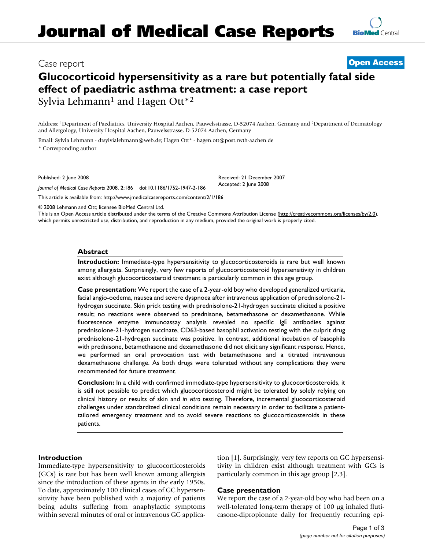# **Glucocorticoid hypersensitivity as a rare but potentially fatal side effect of paediatric asthma treatment: a case report** Sylvia Lehmann<sup>1</sup> and Hagen Ott<sup>\*2</sup>

Address: 1Department of Paediatrics, University Hospital Aachen, Pauwelsstrasse, D-52074 Aachen, Germany and 2Department of Dermatology and Allergology, University Hospital Aachen, Pauwelsstrasse, D-52074 Aachen, Germany

Email: Sylvia Lehmann - drsylvialehmann@web.de; Hagen Ott\* - hagen.ott@post.rwth-aachen.de \* Corresponding author

Published: 2 June 2008

*Journal of Medical Case Reports* 2008, **2**:186 doi:10.1186/1752-1947-2-186

[This article is available from: http://www.jmedicalcasereports.com/content/2/1/186](http://www.jmedicalcasereports.com/content/2/1/186)

© 2008 Lehmann and Ott; licensee BioMed Central Ltd.

This is an Open Access article distributed under the terms of the Creative Commons Attribution License [\(http://creativecommons.org/licenses/by/2.0\)](http://creativecommons.org/licenses/by/2.0), which permits unrestricted use, distribution, and reproduction in any medium, provided the original work is properly cited.

Received: 21 December 2007 Accepted: 2 June 2008

# **Abstract**

**Introduction:** Immediate-type hypersensitivity to glucocorticosteroids is rare but well known among allergists. Surprisingly, very few reports of glucocorticosteroid hypersensitivity in children exist although glucocorticosteroid treatment is particularly common in this age group.

**Case presentation:** We report the case of a 2-year-old boy who developed generalized urticaria, facial angio-oedema, nausea and severe dyspnoea after intravenous application of prednisolone-21 hydrogen succinate. Skin prick testing with prednisolone-21-hydrogen succinate elicited a positive result; no reactions were observed to prednisone, betamethasone or dexamethasone. While fluorescence enzyme immunoassay analysis revealed no specific IgE antibodies against prednisolone-21-hydrogen succinate, CD63-based basophil activation testing with the culprit drug prednisolone-21-hydrogen succinate was positive. In contrast, additional incubation of basophils with prednisone, betamethasone and dexamethasone did not elicit any significant response. Hence, we performed an oral provocation test with betamethasone and a titrated intravenous dexamethasone challenge. As both drugs were tolerated without any complications they were recommended for future treatment.

**Conclusion:** In a child with confirmed immediate-type hypersensitivity to glucocorticosteroids, it is still not possible to predict which glucocorticosteroid might be tolerated by solely relying on clinical history or results of skin and *in vitro* testing. Therefore, incremental glucocorticosteroid challenges under standardized clinical conditions remain necessary in order to facilitate a patienttailored emergency treatment and to avoid severe reactions to glucocorticosteroids in these patients.

# **Introduction**

Immediate-type hypersensitivity to glucocorticosteroids (GCs) is rare but has been well known among allergists since the introduction of these agents in the early 1950s. To date, approximately 100 clinical cases of GC hypersensitivity have been published with a majority of patients being adults suffering from anaphylactic symptoms within several minutes of oral or intravenous GC application [1]. Surprisingly, very few reports on GC hypersensitivity in children exist although treatment with GCs is particularly common in this age group [2,3].

#### **Case presentation**

We report the case of a 2-year-old boy who had been on a well-tolerated long-term therapy of 100 μg inhaled fluticasone-dipropionate daily for frequently recurring epi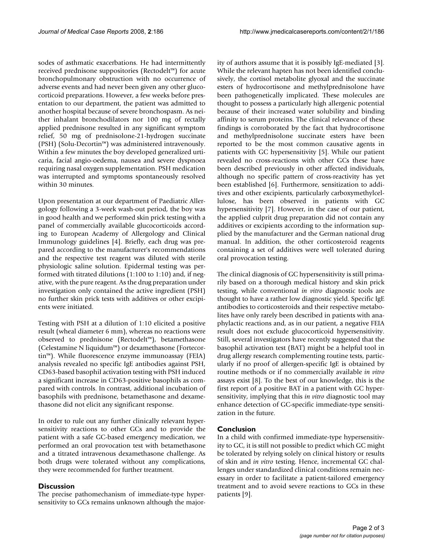sodes of asthmatic exacerbations. He had intermittently received prednisone suppositories (Rectodelt™) for acute bronchopulmonary obstruction with no occurrence of adverse events and had never been given any other glucocorticoid preparations. However, a few weeks before presentation to our department, the patient was admitted to another hospital because of severe bronchospasm. As neither inhalant bronchodilators nor 100 mg of rectally applied prednisone resulted in any significant symptom relief, 50 mg of prednisolone-21-hydrogen succinate (PSH) (Solu-Decortin™) was administered intravenously. Within a few minutes the boy developed generalized urticaria, facial angio-oedema, nausea and severe dyspnoea requiring nasal oxygen supplementation. PSH medication was interrupted and symptoms spontaneously resolved within 30 minutes.

Upon presentation at our department of Paediatric Allergology following a 3-week wash-out period, the boy was in good health and we performed skin prick testing with a panel of commercially available glucocorticoids according to European Academy of Allergology and Clinical Immunology guidelines [4]. Briefly, each drug was prepared according to the manufacturer's recommendations and the respective test reagent was diluted with sterile physiologic saline solution. Epidermal testing was performed with titrated dilutions (1:100 to 1:10) and, if negative, with the pure reagent. As the drug preparation under investigation only contained the active ingredient (PSH) no further skin prick tests with additives or other excipients were initiated.

Testing with PSH at a dilution of 1:10 elicited a positive result (wheal diameter 6 mm), whereas no reactions were observed to prednisone (Rectodelt™), betamethasone (Celestamine N liquidum™) or dexamethasone (Fortecortin™). While fluorescence enzyme immunoassay (FEIA) analysis revealed no specific IgE antibodies against PSH, CD63-based basophil activation testing with PSH induced a significant increase in CD63-positive basophils as compared with controls. In contrast, additional incubation of basophils with prednisone, betamethasone and dexamethasone did not elicit any significant response.

In order to rule out any further clinically relevant hypersensitivity reactions to other GCs and to provide the patient with a safe GC-based emergency medication, we performed an oral provocation test with betamethasone and a titrated intravenous dexamethasone challenge. As both drugs were tolerated without any complications, they were recommended for further treatment.

#### **Discussion**

The precise pathomechanism of immediate-type hypersensitivity to GCs remains unknown although the majority of authors assume that it is possibly IgE-mediated [3]. While the relevant hapten has not been identified conclusively, the cortisol metabolite glyoxal and the succinate esters of hydrocortisone and methylprednisolone have been pathogenetically implicated. These molecules are thought to possess a particularly high allergenic potential because of their increased water solubility and binding affinity to serum proteins. The clinical relevance of these findings is corroborated by the fact that hydrocortisone and methylprednisolone succinate esters have been reported to be the most common causative agents in patients with GC hypersensitivity [5]. While our patient revealed no cross-reactions with other GCs these have been described previously in other affected individuals, although no specific pattern of cross-reactivity has yet been established [6]. Furthermore, sensitization to additives and other excipients, particularly carboxymethylcellulose, has been observed in patients with GC hypersensitivity [7]. However, in the case of our patient, the applied culprit drug preparation did not contain any additives or excipients according to the information supplied by the manufacturer and the German national drug manual. In addition, the other corticosteroid reagents containing a set of additives were well tolerated during oral provocation testing.

The clinical diagnosis of GC hypersensitivity is still primarily based on a thorough medical history and skin prick testing, while conventional *in vitro* diagnostic tools are thought to have a rather low diagnostic yield. Specific IgE antibodies to corticosteroids and their respective metabolites have only rarely been described in patients with anaphylactic reactions and, as in our patient, a negative FEIA result does not exclude glucocorticoid hypersensitivity. Still, several investigators have recently suggested that the basophil activation test (BAT) might be a helpful tool in drug allergy research complementing routine tests, particularly if no proof of allergen-specific IgE is obtained by routine methods or if no commercially available *in vitro* assays exist [8]. To the best of our knowledge, this is the first report of a positive BAT in a patient with GC hypersensitivity, implying that this *in vitro* diagnostic tool may enhance detection of GC-specific immediate-type sensitization in the future.

#### **Conclusion**

In a child with confirmed immediate-type hypersensitivity to GC, it is still not possible to predict which GC might be tolerated by relying solely on clinical history or results of skin and *in vitro* testing. Hence, incremental GC challenges under standardized clinical conditions remain necessary in order to facilitate a patient-tailored emergency treatment and to avoid severe reactions to GCs in these patients [9].